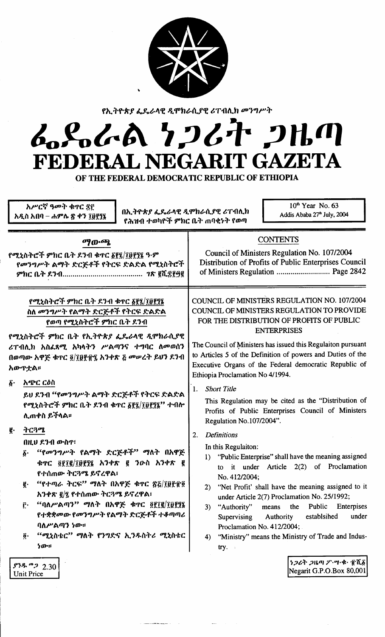

የኢትዮጵያ ፌዴራላዊ ዲሞክራሲያዊ ሪፐብሊክ መንግሥት

# んとんめ りつびた つはの FEDERAL NEGARIT GAZETA

OF THE FEDERAL DEMOCRATIC REPUBLIC OF ETHIOPIA

| አሥርኛ ዓመት ቁጥር ጅ፫<br>በኢትዮጵያ ፌዴራላዊ ዲሞክራሲያዊ ሪፐብሊክ<br>አዲስ አበባ – ሐምሌ ጽ ቀን ፲፱፻፺፯<br>የሕዝብ ተወካዮች ምክር ቤት ጠባቂነት የወጣ                                                                                                                                                                                                                                                                                   | 10 <sup>th</sup> Year No. 63<br>Addis Ababa 27 <sup>th</sup> July, 2004                                                                                                                                                                                                                                                                                                                                                                                                                                             |
|--------------------------------------------------------------------------------------------------------------------------------------------------------------------------------------------------------------------------------------------------------------------------------------------------------------------------------------------------------------------------------------------|---------------------------------------------------------------------------------------------------------------------------------------------------------------------------------------------------------------------------------------------------------------------------------------------------------------------------------------------------------------------------------------------------------------------------------------------------------------------------------------------------------------------|
| ማውጫ                                                                                                                                                                                                                                                                                                                                                                                        | <b>CONTENTS</b>                                                                                                                                                                                                                                                                                                                                                                                                                                                                                                     |
| የሚኒስትሮች ምክር ቤት ደንብ ቁጥር ፩፻፯/፲፱፻፺፮ ዓ·ም                                                                                                                                                                                                                                                                                                                                                       | Council of Ministers Regulation No. 107/2004                                                                                                                                                                                                                                                                                                                                                                                                                                                                        |
| የመንግሥት ልማት ድርጅቶች የትርፍ ድልድል የሚኒስትሮች                                                                                                                                                                                                                                                                                                                                                         | Distribution of Profits of Public Enterprises Council                                                                                                                                                                                                                                                                                                                                                                                                                                                               |
|                                                                                                                                                                                                                                                                                                                                                                                            | of Ministers Regulation  Page 2842                                                                                                                                                                                                                                                                                                                                                                                                                                                                                  |
| የሚኒስትሮች ምክር ቤት ዶንብ ቁጥር ፩፻፯/፲፱፻፺፮                                                                                                                                                                                                                                                                                                                                                           | COUNCIL OF MINISTERS REGULATION NO. 107/2004                                                                                                                                                                                                                                                                                                                                                                                                                                                                        |
| ስለ መንግሥት የልማት ድርጅቶች የትርፍ ድልድል                                                                                                                                                                                                                                                                                                                                                              | COUNCIL OF MINISTERS REGULATION TO PROVIDE                                                                                                                                                                                                                                                                                                                                                                                                                                                                          |
| የወጣ የሚኒስትሮች ምክር ቤት ደንብ                                                                                                                                                                                                                                                                                                                                                                     | FOR THE DISTRIBUTION OF PROFITS OF PUBLIC                                                                                                                                                                                                                                                                                                                                                                                                                                                                           |
| የሚኒስትሮች ምክር ቤት የኢትዮጵያ ፌዴራላዊ ዲሞክራሲያዊ                                                                                                                                                                                                                                                                                                                                                        | <b>ENTERPRISES</b>                                                                                                                                                                                                                                                                                                                                                                                                                                                                                                  |
| ሪፐብሊክ አስፈጸሚ አካላትን ሥልጣንና ተግባር ለመወሰን<br>በወጣው አዋጅ ቁጥር ፬/፲፱፻፹፯ አንቀጽ ፭ መሠረት ይህን ደንብ<br>አውዋቷል።                                                                                                                                                                                                                                                                                                   | The Council of Ministers has issued this Regulaiton pursuant<br>to Articles 5 of the Definition of powers and Duties of the<br>Executive Organs of the Federal democratic Republic of<br>Ethiopia Proclamation No 4/1994.                                                                                                                                                                                                                                                                                           |
| አጭር ርዕስ                                                                                                                                                                                                                                                                                                                                                                                    | <b>Short Title</b>                                                                                                                                                                                                                                                                                                                                                                                                                                                                                                  |
| $\hat{\boldsymbol{b}}$ .                                                                                                                                                                                                                                                                                                                                                                   | 1.                                                                                                                                                                                                                                                                                                                                                                                                                                                                                                                  |
| ይህ ደንብ "የመንግሥት ልማት ድርጅቶች የትርፍ ድልድል                                                                                                                                                                                                                                                                                                                                                         | This Regulation may be cited as the "Distribution of                                                                                                                                                                                                                                                                                                                                                                                                                                                                |
| የሚኒስትሮች ምክር ቤት ደንብ ቁጥር ፩፻፯/፲፱፻፺፯'' ተብሎ                                                                                                                                                                                                                                                                                                                                                     | Profits of Public Enterprises Council of Ministers                                                                                                                                                                                                                                                                                                                                                                                                                                                                  |
| ሊጠቀስ ይችላል።                                                                                                                                                                                                                                                                                                                                                                                 | Regulation No.107/2004".                                                                                                                                                                                                                                                                                                                                                                                                                                                                                            |
| ትርጓሜ<br>ğ.<br>በዚህ ደንብ ውስዋ፣<br><i>''የመንግሥት የልማት ድርጅቶች'' ማ</i> ለት በአዋጅ<br>$\vec{b}$ .<br>ቁጥር ፬፻፲፪/፲፱፻፺፯ አንቀጽ ፪ ንውስ አንቀጽ ፪<br>የተሰጠው ትርጓሜ ይኖረዋል፣<br>"የተጣራ ትርፍ" ማለት በአዋጅ ቁጥር ጽ፩/፲፱፻፹፬<br>ğ.<br>አንቀጽ ፪/፯ የተሰጠው ትርጓሜ ይኖረዋል፣<br>"ባለሥልጣን" ማለት በአዋጅ ቁጥር ፬፻፲፪/፲፱፻፺፯<br>$\mathbf{r}$<br>የተቋቋመው የመንግሥት የልማት ድርጅቶች ተቆጣጣሪ<br>ባለሥልጣን ነው።<br>"ሚኒስቴር" ማለት የንግድና ኢንዱስትሪ ሚኒስቴር<br>$\ddot{\mathbf{0}}$ .<br>ነው። | <b>Definitions</b><br>2.<br>In this Regulaiton:<br>1) "Public Enterprise" shall have the meaning assigned<br>of Proclamation<br>Article $2(2)$<br>to it under<br>No. 412/2004;<br>"Net Profit' shall have the meaning assigned to it<br>2)<br>under Article 2(7) Proclamation No. 25/1992;<br>Public<br>"Authority"<br>the<br>Enterpises<br>3)<br>means<br>Authority<br>establsihed<br><b>Supervising</b><br>under<br>Proclamation No. 412/2004;<br>"Ministry" means the Ministry of Trade and Indus-<br>4)<br>try. |
| $$38$ $$2.30$                                                                                                                                                                                                                                                                                                                                                                              | うつとれ つルの グ・ツ・キ・ 武爪系                                                                                                                                                                                                                                                                                                                                                                                                                                                                                                 |
| <b>Unit Price</b>                                                                                                                                                                                                                                                                                                                                                                          | Negarit G.P.O.Box 80,001                                                                                                                                                                                                                                                                                                                                                                                                                                                                                            |